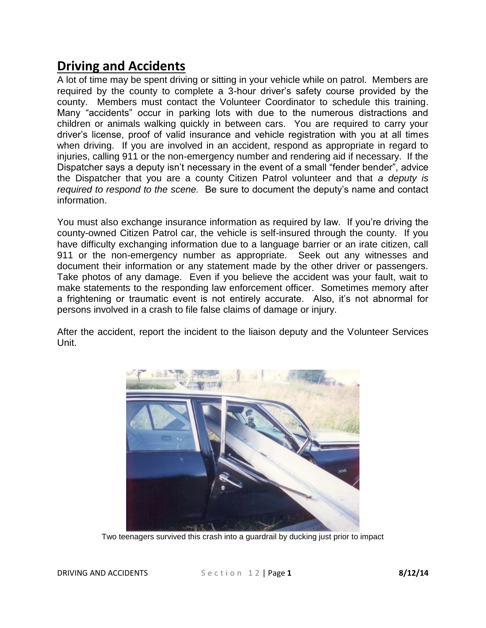## **Driving and Accidents**

A lot of time may be spent driving or sitting in your vehicle while on patrol. Members are required by the county to complete a 3-hour driver's safety course provided by the county. Members must contact the Volunteer Coordinator to schedule this training. Many "accidents" occur in parking lots with due to the numerous distractions and children or animals walking quickly in between cars. You are required to carry your driver's license, proof of valid insurance and vehicle registration with you at all times when driving. If you are involved in an accident, respond as appropriate in regard to injuries, calling 911 or the non-emergency number and rendering aid if necessary. If the Dispatcher says a deputy isn't necessary in the event of a small "fender bender", advice the Dispatcher that you are a county Citizen Patrol volunteer and that *a deputy is required to respond to the scene.* Be sure to document the deputy's name and contact information.

You must also exchange insurance information as required by law. If you're driving the county-owned Citizen Patrol car, the vehicle is self-insured through the county. If you have difficulty exchanging information due to a language barrier or an irate citizen, call 911 or the non-emergency number as appropriate. Seek out any witnesses and document their information or any statement made by the other driver or passengers. Take photos of any damage. Even if you believe the accident was your fault, wait to make statements to the responding law enforcement officer. Sometimes memory after a frightening or traumatic event is not entirely accurate. Also, it's not abnormal for persons involved in a crash to file false claims of damage or injury.

After the accident, report the incident to the liaison deputy and the Volunteer Services Unit.



Two teenagers survived this crash into a guardrail by ducking just prior to impact